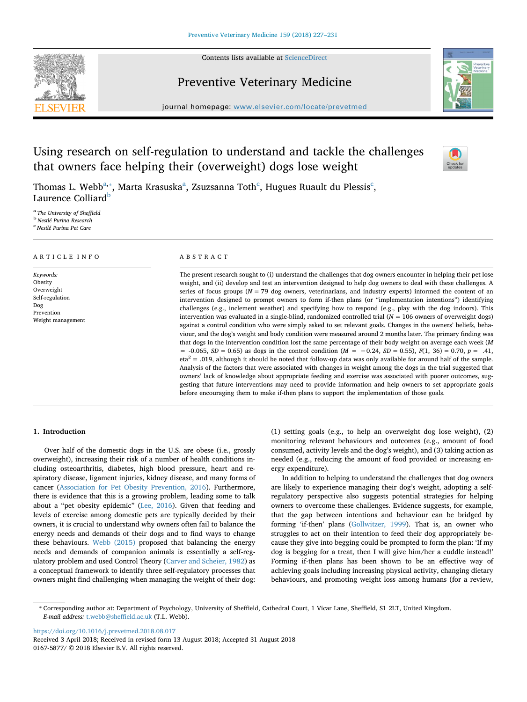Contents lists available at [ScienceDirect](http://www.sciencedirect.com/science/journal/01675877)



# Preventive Veterinary Medicine



journal homepage: [www.elsevier.com/locate/prevetmed](https://www.elsevier.com/locate/prevetmed)

# Using research on self-regulation to understand and tackle the challenges that owners face helping their (overweight) dogs lose weight



Thomas L. Webb $^{\mathrm{a},*}$ , Marta Krasuska $^{\mathrm{a}}$ , Zsuzsanna Toth $^{\mathrm{c}}$  $^{\mathrm{c}}$  $^{\mathrm{c}}$ , Hugues Ruault du Plessis $^{\mathrm{c}}$ , Laurence Colliard<sup>[b](#page-0-3)</sup>

<span id="page-0-3"></span><span id="page-0-2"></span><span id="page-0-0"></span><sup>a</sup> *The University of Sheffield* <sup>b</sup> *Nestlé Purina Research* c *Nestlé Purina Pet Care*

### ARTICLE INFO

*Keywords:* Obesity Overweight Self-regulation Dog Prevention Weight management

## ABSTRACT

The present research sought to (i) understand the challenges that dog owners encounter in helping their pet lose weight, and (ii) develop and test an intervention designed to help dog owners to deal with these challenges. A series of focus groups  $(N = 79$  dog owners, veterinarians, and industry experts) informed the content of an intervention designed to prompt owners to form if-then plans (or "implementation intentions") identifying challenges (e.g., inclement weather) and specifying how to respond (e.g., play with the dog indoors). This intervention was evaluated in a single-blind, randomized controlled trial (*N* = 106 owners of overweight dogs) against a control condition who were simply asked to set relevant goals. Changes in the owners' beliefs, behaviour, and the dog's weight and body condition were measured around 2 months later. The primary finding was that dogs in the intervention condition lost the same percentage of their body weight on average each week (*M* = -0.065, *SD* = 0.65) as dogs in the control condition (*M* = −0.24, *SD* = 0.55), *F*(1, 36) = 0.70, *p* = .41,  $eta^2$  = .019, although it should be noted that follow-up data was only available for around half of the sample. Analysis of the factors that were associated with changes in weight among the dogs in the trial suggested that owners' lack of knowledge about appropriate feeding and exercise was associated with poorer outcomes, suggesting that future interventions may need to provide information and help owners to set appropriate goals before encouraging them to make if-then plans to support the implementation of those goals.

# **1. Introduction**

Over half of the domestic dogs in the U.S. are obese (i.e., grossly overweight), increasing their risk of a number of health conditions including osteoarthritis, diabetes, high blood pressure, heart and respiratory disease, ligament injuries, kidney disease, and many forms of cancer [\(Association for Pet Obesity Prevention, 2016\)](#page-4-0). Furthermore, there is evidence that this is a growing problem, leading some to talk about a "pet obesity epidemic" ([Lee, 2016\)](#page-4-1). Given that feeding and levels of exercise among domestic pets are typically decided by their owners, it is crucial to understand why owners often fail to balance the energy needs and demands of their dogs and to find ways to change these behaviours. [Webb \(2015\)](#page-4-2) proposed that balancing the energy needs and demands of companion animals is essentially a self-regulatory problem and used Control Theory ([Carver and Scheier, 1982](#page-4-3)) as a conceptual framework to identify three self-regulatory processes that owners might find challenging when managing the weight of their dog:

(1) setting goals (e.g., to help an overweight dog lose weight), (2) monitoring relevant behaviours and outcomes (e.g., amount of food consumed, activity levels and the dog's weight), and (3) taking action as needed (e.g., reducing the amount of food provided or increasing energy expenditure).

In addition to helping to understand the challenges that dog owners are likely to experience managing their dog's weight, adopting a selfregulatory perspective also suggests potential strategies for helping owners to overcome these challenges. Evidence suggests, for example, that the gap between intentions and behaviour can be bridged by forming 'if-then' plans [\(Gollwitzer, 1999](#page-4-4)). That is, an owner who struggles to act on their intention to feed their dog appropriately because they give into begging could be prompted to form the plan: 'If my dog is begging for a treat, then I will give him/her a cuddle instead!' Forming if-then plans has been shown to be an effective way of achieving goals including increasing physical activity, changing dietary behaviours, and promoting weight loss among humans (for a review,

<https://doi.org/10.1016/j.prevetmed.2018.08.017>

<span id="page-0-1"></span><sup>⁎</sup> Corresponding author at: Department of Psychology, University of Sheffield, Cathedral Court, 1 Vicar Lane, Sheffield, S1 2LT, United Kingdom. *E-mail address:* [t.webb@sheffield.ac.uk](mailto:t.webb@sheffield.ac.uk) (T.L. Webb).

Received 3 April 2018; Received in revised form 13 August 2018; Accepted 31 August 2018 0167-5877/ © 2018 Elsevier B.V. All rights reserved.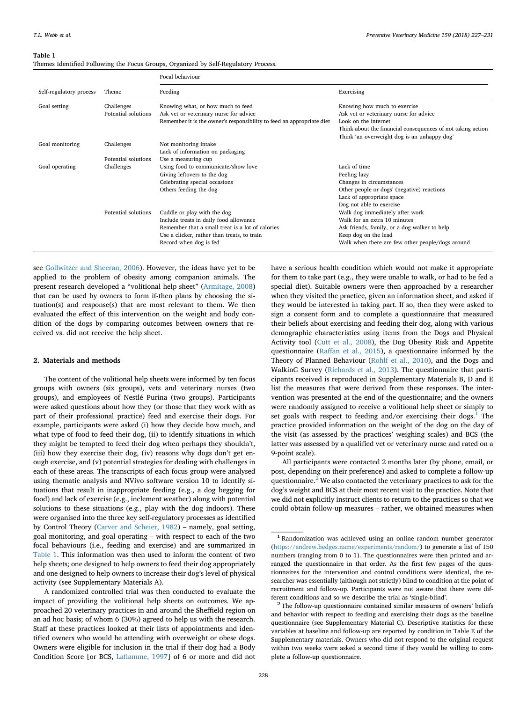#### <span id="page-1-0"></span>**Table 1**

| Themes Identified Following the Focus Groups, Organized by Self-Regulatory Process. |  |  |
|-------------------------------------------------------------------------------------|--|--|
|-------------------------------------------------------------------------------------|--|--|

|                         |                                   | Focal behaviour                                                                                                                                                                                    |                                                                                                                                                                                                              |
|-------------------------|-----------------------------------|----------------------------------------------------------------------------------------------------------------------------------------------------------------------------------------------------|--------------------------------------------------------------------------------------------------------------------------------------------------------------------------------------------------------------|
| Self-regulatory process | Theme                             | Feeding                                                                                                                                                                                            | Exercising                                                                                                                                                                                                   |
| Goal setting            | Challenges<br>Potential solutions | Knowing what, or how much to feed<br>Ask vet or veterinary nurse for advice<br>Remember it is the owner's responsibility to feed an appropriate diet                                               | Knowing how much to exercise<br>Ask vet or veterinary nurse for advice<br>Look on the internet<br>Think about the financial consequences of not taking action<br>Think 'an overweight dog is an unhappy dog' |
| Goal monitoring         | Challenges                        | Not monitoring intake<br>Lack of information on packaging                                                                                                                                          |                                                                                                                                                                                                              |
| Goal operating          | Potential solutions<br>Challenges | Use a measuring cup<br>Using food to communicate/show love<br>Giving leftovers to the dog<br>Celebrating special occasions<br>Others feeding the dog                                               | Lack of time<br>Feeling lazy<br>Changes in circumstances<br>Other people or dogs' (negative) reactions<br>Lack of appropriate space<br>Dog not able to exercise                                              |
|                         | Potential solutions               | Cuddle or play with the dog<br>Include treats in daily food allowance<br>Remember that a small treat is a lot of calories<br>Use a clicker, rather than treats, to train<br>Record when dog is fed | Walk dog immediately after work<br>Walk for an extra 10 minutes<br>Ask friends, family, or a dog walker to help<br>Keep dog on the lead<br>Walk when there are few other people/dogs around                  |

see [Gollwitzer and Sheeran, 2006\)](#page-4-5). However, the ideas have yet to be applied to the problem of obesity among companion animals. The present research developed a "volitional help sheet" [\(Armitage, 2008\)](#page-4-6) that can be used by owners to form if-then plans by choosing the situation(s) and response(s) that are most relevant to them. We then evaluated the effect of this intervention on the weight and body condition of the dogs by comparing outcomes between owners that received vs. did not receive the help sheet.

## **2. Materials and methods**

The content of the volitional help sheets were informed by ten focus groups with owners (six groups), vets and veterinary nurses (two groups), and employees of Nestlé Purina (two groups). Participants were asked questions about how they (or those that they work with as part of their professional practice) feed and exercise their dogs. For example, participants were asked (i) how they decide how much, and what type of food to feed their dog, (ii) to identify situations in which they might be tempted to feed their dog when perhaps they shouldn't, (iii) how they exercise their dog, (iv) reasons why dogs don't get enough exercise, and (v) potential strategies for dealing with challenges in each of these areas. The transcripts of each focus group were analysed using thematic analysis and NVivo software version 10 to identify situations that result in inappropriate feeding (e.g., a dog begging for food) and lack of exercise (e.g., inclement weather) along with potential solutions to these situations (e.g., play with the dog indoors). These were organised into the three key self-regulatory processes as identified by Control Theory ([Carver and Scheier, 1982\)](#page-4-3) – namely, goal setting, goal monitoring, and goal operating – with respect to each of the two focal behaviours (i.e., feeding and exercise) and are summarized in [Table 1](#page-1-0). This information was then used to inform the content of two help sheets; one designed to help owners to feed their dog appropriately and one designed to help owners to increase their dog's level of physical activity (see Supplementary Materials A).

A randomized controlled trial was then conducted to evaluate the impact of providing the volitional help sheets on outcomes. We approached 20 veterinary practices in and around the Sheffield region on an ad hoc basis; of whom 6 (30%) agreed to help us with the research. Staff at these practices looked at their lists of appointments and identified owners who would be attending with overweight or obese dogs. Owners were eligible for inclusion in the trial if their dog had a Body Condition Score [or BCS, [Laflamme, 1997\]](#page-4-7) of 6 or more and did not have a serious health condition which would not make it appropriate for them to take part (e.g., they were unable to walk, or had to be fed a special diet). Suitable owners were then approached by a researcher when they visited the practice, given an information sheet, and asked if they would be interested in taking part. If so, then they were asked to sign a consent form and to complete a questionnaire that measured their beliefs about exercising and feeding their dog, along with various demographic characteristics using items from the Dogs and Physical Activity tool ([Cutt et al., 2008](#page-4-8)), the Dog Obesity Risk and Appetite questionnaire [\(Raffan et al., 2015](#page-4-9)), a questionnaire informed by the Theory of Planned Behaviour ([Rohlf et al., 2010](#page-4-10)), and the Dogs and WalkinG Survey [\(Richards et al., 2013\)](#page-4-11). The questionnaire that participants received is reproduced in Supplementary Materials B, D and E list the measures that were derived from these responses. The intervention was presented at the end of the questionnaire; and the owners were randomly assigned to receive a volitional help sheet or simply to set goals with respect to feeding and/or exercising their dogs. $<sup>1</sup>$  $<sup>1</sup>$  $<sup>1</sup>$  The</sup> practice provided information on the weight of the dog on the day of the visit (as assessed by the practices' weighing scales) and BCS (the latter was assessed by a qualified vet or veterinary nurse and rated on a 9-point scale).

All participants were contacted 2 months later (by phone, email, or post, depending on their preference) and asked to complete a follow-up questionnaire. $2$  We also contacted the veterinary practices to ask for the dog's weight and BCS at their most recent visit to the practice. Note that we did not explicitly instruct clients to return to the practices so that we could obtain follow-up measures – rather, we obtained measures when

<span id="page-1-1"></span><sup>&</sup>lt;sup>1</sup> Randomization was achieved using an online random number generator [\(https://andrew.hedges.name/experiments/random/\)](https://andrew.hedges.name/experiments/random/) to generate a list of 150 numbers (ranging from 0 to 1). The questionnaires were then printed and arranged the questionnaire in that order. As the first few pages of the questionnaires for the intervention and control conditions were identical, the researcher was essentially (although not strictly) blind to condition at the point of recruitment and follow-up. Participants were not aware that there were different conditions and so we describe the trial as 'single-blind'.

<span id="page-1-2"></span> $2$  The follow-up questionnaire contained similar measures of owners' beliefs and behavior with respect to feeding and exercising their dogs as the baseline questionnaire (see Supplementary Material C). Descriptive statistics for these variables at baseline and follow-up are reported by condition in Table E of the Supplementary materials. Owners who did not respond to the original request within two weeks were asked a second time if they would be willing to complete a follow-up questionnaire.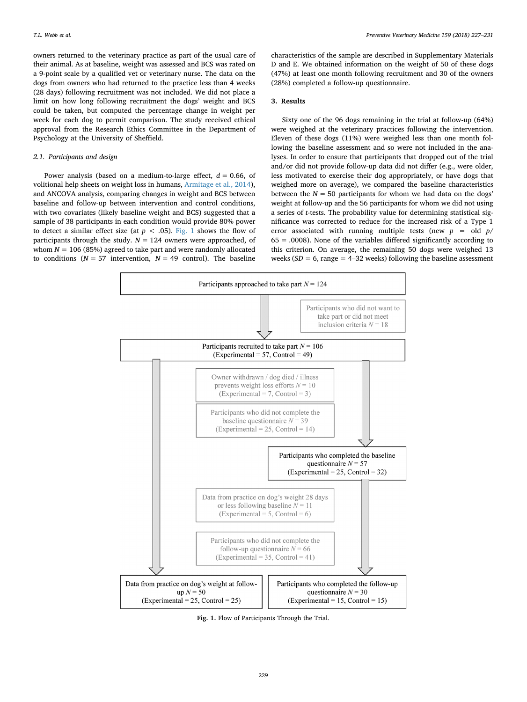owners returned to the veterinary practice as part of the usual care of their animal. As at baseline, weight was assessed and BCS was rated on a 9-point scale by a qualified vet or veterinary nurse. The data on the dogs from owners who had returned to the practice less than 4 weeks (28 days) following recruitment was not included. We did not place a limit on how long following recruitment the dogs' weight and BCS could be taken, but computed the percentage change in weight per week for each dog to permit comparison. The study received ethical approval from the Research Ethics Committee in the Department of Psychology at the University of Sheffield.

## *2.1. Participants and design*

Power analysis (based on a medium-to-large effect,  $d = 0.66$ , of volitional help sheets on weight loss in humans, [Armitage et al., 2014](#page-4-12)), and ANCOVA analysis, comparing changes in weight and BCS between baseline and follow-up between intervention and control conditions, with two covariates (likely baseline weight and BCS) suggested that a sample of 38 participants in each condition would provide 80% power to detect a similar effect size (at  $p < .05$ ). [Fig. 1](#page-2-0) shows the flow of participants through the study.  $N = 124$  owners were approached, of whom  $N = 106$  (85%) agreed to take part and were randomly allocated to conditions  $(N = 57$  intervention,  $N = 49$  control). The baseline

characteristics of the sample are described in Supplementary Materials D and E. We obtained information on the weight of 50 of these dogs (47%) at least one month following recruitment and 30 of the owners (28%) completed a follow-up questionnaire.

## **3. Results**

Sixty one of the 96 dogs remaining in the trial at follow-up (64%) were weighed at the veterinary practices following the intervention. Eleven of these dogs (11%) were weighed less than one month following the baseline assessment and so were not included in the analyses. In order to ensure that participants that dropped out of the trial and/or did not provide follow-up data did not differ (e.g., were older, less motivated to exercise their dog appropriately, or have dogs that weighed more on average), we compared the baseline characteristics between the  $N = 50$  participants for whom we had data on the dogs' weight at follow-up and the 56 participants for whom we did not using a series of *t*-tests. The probability value for determining statistical significance was corrected to reduce for the increased risk of a Type 1 error associated with running multiple tests (new  $p =$  old  $p$ /  $65 = .0008$ ). None of the variables differed significantly according to this criterion. On average, the remaining 50 dogs were weighed 13 weeks  $(SD = 6$ , range = 4–32 weeks) following the baseline assessment

<span id="page-2-0"></span>

**Fig. 1.** Flow of Participants Through the Trial.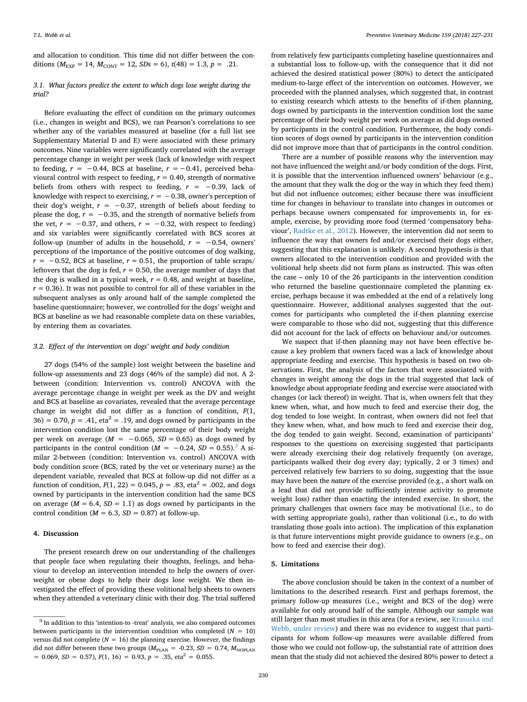and allocation to condition. This time did not differ between the conditions ( $M_{\text{EXP}} = 14$ ,  $M_{\text{CONT}} = 12$ ,  $SDs = 6$ ),  $t(48) = 1.3$ ,  $p = .21$ .

# *3.1. What factors predict the extent to which dogs lose weight during the trial?*

Before evaluating the effect of condition on the primary outcomes (i.e., changes in weight and BCS), we ran Pearson's correlations to see whether any of the variables measured at baseline (for a full list see Supplementary Material D and E) were associated with these primary outcomes. Nine variables were significantly correlated with the average percentage change in weight per week (lack of knowledge with respect to feeding,  $r = −0.44$ , BCS at baseline,  $r = −0.41$ , perceived behavioural control with respect to feeding,  $r = 0.40$ , strength of normative beliefs from others with respect to feeding,  $r = -0.39$ , lack of knowledge with respect to exercising,  $r = -0.38$ , owner's perception of their dog's weight,  $r = -0.37$ , strength of beliefs about feeding to please the dog,  $\vec{r}$  = −0.35, and the strength of normative beliefs from the vet,  $r = -0.37$ , and others,  $r = -0.32$ , with respect to feeding) and six variables were significantly correlated with BCS scores at follow-up (number of adults in the household,  $r = -0.54$ , owners' perceptions of the importance of the positive outcomes of dog walking,  $r = -0.52$ , BCS at baseline,  $r = 0.51$ , the proportion of table scraps/ leftovers that the dog is fed,  $r = 0.50$ , the average number of days that the dog is walked in a typical week,  $r = 0.48$ , and weight at baseline,  $r = 0.36$ ). It was not possible to control for all of these variables in the subsequent analyses as only around half of the sample completed the baseline questionnaire; however, we controlled for the dogs' weight and BCS at baseline as we had reasonable complete data on these variables, by entering them as covariates.

#### *3.2. Effect of the intervention on dogs' weight and body condition*

27 dogs (54% of the sample) lost weight between the baseline and follow-up assessments and 23 dogs (46% of the sample) did not. A 2 between (condition: Intervention vs. control) ANCOVA with the average percentage change in weight per week as the DV and weight and BCS at baseline as covariates, revealed that the average percentage change in weight did not differ as a function of condition, *F*(1,  $36$ ) = 0.70,  $p = .41$ , eta<sup>2</sup> = .19, and dogs owned by participants in the intervention condition lost the same percentage of their body weight per week on average ( $M = -0.065$ ,  $SD = 0.65$ ) as dogs owned by participants in the control condition ( $M = -0.24$ ,  $SD = 0.55$ ).<sup>[3](#page-3-0)</sup> A similar 2-between (condition: Intervention vs. control) ANCOVA with body condition score (BCS, rated by the vet or veterinary nurse) as the dependent variable, revealed that BCS at follow-up did not differ as a function of condition,  $F(1, 22) = 0.045$ ,  $p = .83$ , eta<sup>2</sup> = .002, and dogs owned by participants in the intervention condition had the same BCS on average  $(M = 6.4, SD = 1.1)$  as dogs owned by participants in the control condition ( $M = 6.3$ ,  $SD = 0.87$ ) at follow-up.

### **4. Discussion**

The present research drew on our understanding of the challenges that people face when regulating their thoughts, feelings, and behaviour to develop an intervention intended to help the owners of overweight or obese dogs to help their dogs lose weight. We then investigated the effect of providing these volitional help sheets to owners when they attended a veterinary clinic with their dog. The trial suffered

from relatively few participants completing baseline questionnaires and a substantial loss to follow-up, with the consequence that it did not achieved the desired statistical power (80%) to detect the anticipated medium-to-large effect of the intervention on outcomes. However, we proceeded with the planned analyses, which suggested that, in contrast to existing research which attests to the benefits of if-then planning, dogs owned by participants in the intervention condition lost the same percentage of their body weight per week on average as did dogs owned by participants in the control condition. Furthermore, the body condition scores of dogs owned by participants in the intervention condition did not improve more than that of participants in the control condition.

There are a number of possible reasons why the intervention may not have influenced the weight and/or body condition of the dogs. First, it is possible that the intervention influenced owners' behaviour (e.g., the amount that they walk the dog or the way in which they feed them) but did not influence outcomes; either because there was insufficient time for changes in behaviour to translate into changes in outcomes or perhaps because owners compensated for improvements in, for example, exercise, by providing more food (termed 'compensatory behaviour', [Radtke et al., 2012](#page-4-13)). However, the intervention did not seem to influence the way that owners fed and/or exercised their dogs either, suggesting that this explanation is unlikely. A second hypothesis is that owners allocated to the intervention condition and provided with the volitional help sheets did not form plans as instructed. This was often the case – only 10 of the 26 participants in the intervention condition who returned the baseline questionnaire completed the planning exercise, perhaps because it was embedded at the end of a relatively long questionnaire. However, additional analyses suggested that the outcomes for participants who completed the if-then planning exercise were comparable to those who did not, suggesting that this difference did not account for the lack of effects on behaviour and/or outcomes.

We suspect that if-then planning may not have been effective because a key problem that owners faced was a lack of knowledge about appropriate feeding and exercise. This hypothesis is based on two observations. First, the analysis of the factors that were associated with changes in weight among the dogs in the trial suggested that lack of knowledge about appropriate feeding and exercise were associated with changes (or lack thereof) in weight. That is, when owners felt that they knew when, what, and how much to feed and exercise their dog, the dog tended to lose weight. In contrast, when owners did not feel that they knew when, what, and how much to feed and exercise their dog, the dog tended to gain weight. Second, examination of participants' responses to the questions on exercising suggested that participants were already exercising their dog relatively frequently (on average, participants walked their dog every day; typically, 2 or 3 times) and perceived relatively few barriers to so doing, suggesting that the issue may have been the *nature* of the exercise provided (e.g., a short walk on a lead that did not provide sufficiently intense activity to promote weight loss) rather than enacting the intended exercise. In short, the primary challenges that owners face may be motivational (i.e., to do with setting appropriate goals), rather than volitional (i.e., to do with translating those goals into action). The implication of this explanation is that future interventions might provide guidance to owners (e.g., on how to feed and exercise their dog).

# **5. Limitations**

The above conclusion should be taken in the context of a number of limitations to the described research. First and perhaps foremost, the primary follow-up measures (i.e., weight and BCS of the dog) were available for only around half of the sample. Although our sample was still larger than most studies in this area (for a review, see [Krasuska and](#page-4-14) [Webb, under review\)](#page-4-14) and there was no evidence to suggest that participants for whom follow-up measures were available differed from those who we could not follow-up, the substantial rate of attrition does mean that the study did not achieved the desired 80% power to detect a

<span id="page-3-0"></span><sup>&</sup>lt;sup>3</sup> In addition to this 'intention-to -treat' analysis, we also compared outcomes between participants in the intervention condition who completed  $(N = 10)$ versus did not complete ( $N = 16$ ) the planning exercise. However, the findings did not differ between these two groups  $(M_{\text{PLAN}} = -0.23, SD = 0.74, M_{\text{NOPLAN}}$  $= 0.069$ , *SD* = 0.57),  $F(1, 16) = 0.93$ ,  $p = .35$ , eta<sup>2</sup> = 0.055.